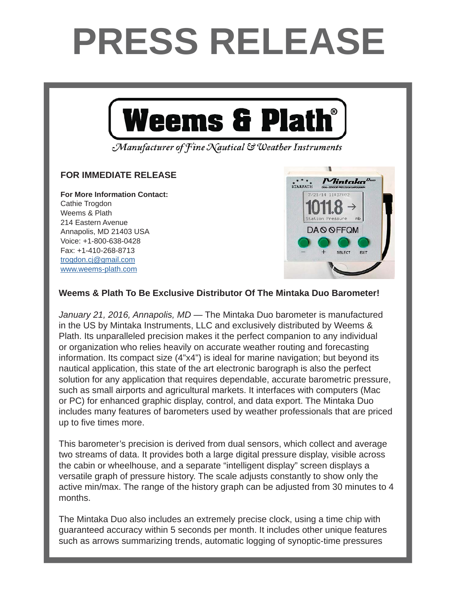## **PRESS RELEASE**



Manufacturer of Fine Nautical & Weather Instruments

## **FOR IMMEDIATE RELEASE FOR IMMEDIATE RELEASE**

**For More Information Contact: For More Information Contact:** Cathie Trogdon Weems & Plath 214 Eastern Avenue Annapolis, MD 21403 USA Voice: +1-800-638-0428 Fax: +1-410-268-8713 <u>trogdon.cj@gmail.com</u> www.weems-plath.com



## Weems & Plath To Be Exclusive Distributor Of The Mintaka Duo Barometer!

January 21, 2016, Annapolis, MD — The Mintaka Duo barometer is manufactured in the US by Mintaka Instruments, LLC and exclusively distributed by Weems & Plath. Its unparalleled precision makes it the perfect companion to any individual and  $\alpha$  is the announced by  $\alpha$  Northern and  $\alpha$  northern annipolis-based company has informally supported company  $\alpha$ or organization who relies heavily on accurate weather routing and forecasting information. Its compact size (4"x4") is ideal for marine navigation; but beyond its nautical application, this state of the art electronic barograph is also the perfect such as small airports and agricultural markets. It interfaces with computers (Mac  $\mathbf{P}(C)$  for subspaced supplies  $\mathbf{P}(C)$  for and we at Weekers  $\mathbf{P}(C)$  for an except  $\mathbf{P}(C)$  for an exception of  $\mathbf{P}(C)$  for  $\mathbf{P}(C)$  for an exception of  $\mathbf{P}(C)$  for an exception of  $\mathbf{P}(C)$  for an exc or PC) for enhanced graphic display, control, and data export. The Mintaka Duo solution for any application that requires dependable, accurate barometric pressure, includes many features of barometers used by weather professionals that are priced up to five times more.

This barometer's precision is derived from dual sensors, which collect and average guests have procedured procedure display wisible care two streams of data. It provides both a large digital pressure display, visible across the cabin or wheelhouse, and a separate "intelligent display" screen displays a versatile graph of pressure history. The scale adjusts constantly to show only the active min/max. The range of the history graph can be adjusted from 30 minutes to 4 months.

been downloaded nearly one million times. The show The Mintaka Duo also includes an extremely precise clock, using a time chip with guaranteed accuracy within 5 seconds per month. It includes other unique features such as arrows summarizing trends, automatic logging of synoptic-time pressures

Andy Schell. "Peter is an early adapter and caught onto to the podcast technology very